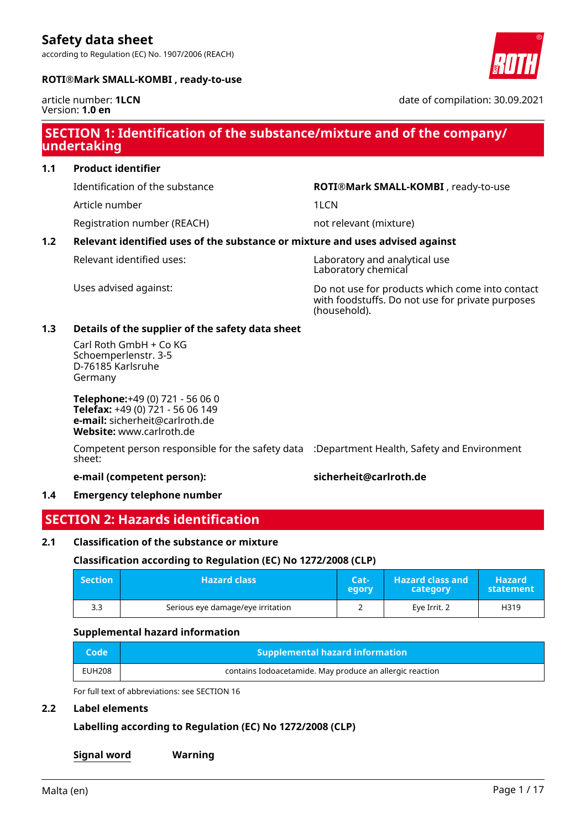according to Regulation (EC) No. 1907/2006 (REACH)



#### **ROTI®Mark SMALL-KOMBI , ready-to-use**

article number: **1LCN** Version: **1.0 en**

date of compilation: 30.09.2021

## **SECTION 1: Identification of the substance/mixture and of the company/ undertaking**

#### **1.1 Product identifier**

Article number 11 and 12 and 12 and 12 and 12 and 12 and 12 and 12 and 12 and 12 and 12 and 12 and 12 and 12 and 12 and 12 and 12 and 12 and 12 and 12 and 12 and 12 and 12 and 12 and 12 and 12 and 12 and 12 and 12 and 12 a

Registration number (REACH) not relevant (mixture)

Identification of the substance **ROTI®Mark SMALL-KOMBI** , ready-to-use

#### **1.2 Relevant identified uses of the substance or mixture and uses advised against**

Relevant identified uses: Laboratory and analytical use Laboratory chemical

Uses advised against: Do not use for products which come into contact with foodstuffs. Do not use for private purposes (household).

#### **1.3 Details of the supplier of the safety data sheet**

Carl Roth GmbH + Co KG Schoemperlenstr. 3-5 D-76185 Karlsruhe Germany

**Telephone:**+49 (0) 721 - 56 06 0 **Telefax:** +49 (0) 721 - 56 06 149 **e-mail:** sicherheit@carlroth.de **Website:** www.carlroth.de

Competent person responsible for the safety data :Department Health, Safety and Environment sheet:

**e-mail (competent person): sicherheit@carlroth.de**

#### **1.4 Emergency telephone number**

## **SECTION 2: Hazards identification**

#### **2.1 Classification of the substance or mixture**

#### **Classification according to Regulation (EC) No 1272/2008 (CLP)**

| $\blacksquare$ Section | <b>Hazard class</b>               | Cat<br>egory | <b>Hazard class and</b><br>category | <b>Hazard</b> '<br>statement |
|------------------------|-----------------------------------|--------------|-------------------------------------|------------------------------|
| 3.3                    | Serious eye damage/eye irritation |              | Eve Irrit. 2                        | H319                         |

#### **Supplemental hazard information**

| 'Code         | <b>Supplemental hazard information</b>                   |
|---------------|----------------------------------------------------------|
| <b>EUH208</b> | contains Iodoacetamide. May produce an allergic reaction |

For full text of abbreviations: see SECTION 16

#### **2.2 Label elements**

**Labelling according to Regulation (EC) No 1272/2008 (CLP)**

**Signal word Warning**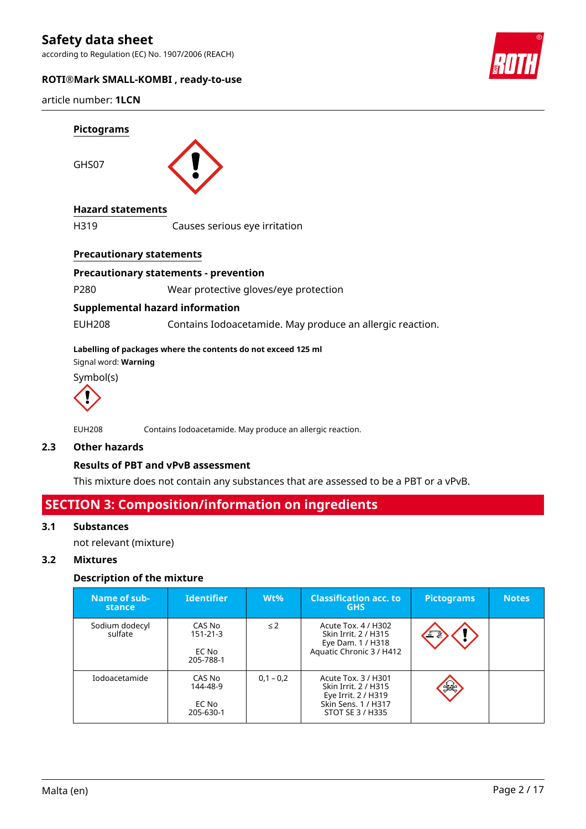according to Regulation (EC) No. 1907/2006 (REACH)

#### **ROTI®Mark SMALL-KOMBI , ready-to-use**



article number: **1LCN**



### **2.3 Other hazards**

#### **Results of PBT and vPvB assessment**

This mixture does not contain any substances that are assessed to be a PBT or a vPvB.

## **SECTION 3: Composition/information on ingredients**

#### **3.1 Substances**

not relevant (mixture)

#### **3.2 Mixtures**

#### **Description of the mixture**

| Name of sub-<br>stance    | <b>Identifier</b>                        | $Wt\%$      | <b>Classification acc. to</b><br><b>GHS</b>                                                                   | <b>Pictograms</b> | <b>Notes</b> |
|---------------------------|------------------------------------------|-------------|---------------------------------------------------------------------------------------------------------------|-------------------|--------------|
| Sodium dodecyl<br>sulfate | CAS No<br>151-21-3<br>EC No<br>205-788-1 | $\leq$ 2    | Acute Tox. 4 / H302<br>Skin Irrit, 2 / H315<br>Eye Dam. 1 / H318<br>Aquatic Chronic 3 / H412                  | v.                |              |
| Iodoacetamide             | CAS No<br>144-48-9<br>EC No<br>205-630-1 | $0,1 - 0,2$ | Acute Tox, 3 / H301<br>Skin Irrit. 2 / H315<br>Eye Irrit. 2 / H319<br>Skin Sens. 1 / H317<br>STOT SE 3 / H335 |                   |              |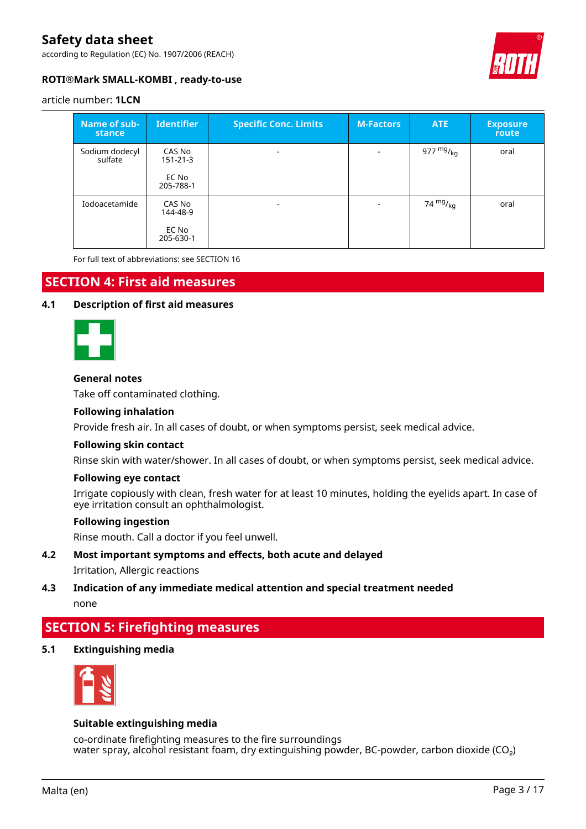according to Regulation (EC) No. 1907/2006 (REACH)



#### **ROTI®Mark SMALL-KOMBI , ready-to-use**

#### article number: **1LCN**

| Name of sub-<br>stance    | <b>Identifier</b>                              | <b>Specific Conc. Limits</b> | <b>M-Factors</b>         | ATE                               | <b>Exposure</b><br>route |
|---------------------------|------------------------------------------------|------------------------------|--------------------------|-----------------------------------|--------------------------|
| Sodium dodecyl<br>sulfate | CAS No<br>$151 - 21 - 3$<br>EC No<br>205-788-1 | $\overline{\phantom{a}}$     | $\overline{\phantom{a}}$ | 977 <sup>mg</sup> / <sub>kg</sub> | oral                     |
| Iodoacetamide             | CAS No<br>144-48-9<br>EC No<br>205-630-1       | $\overline{\phantom{a}}$     | $\blacksquare$           | 74 <sup>mg</sup> / <sub>kg</sub>  | oral                     |

For full text of abbreviations: see SECTION 16

### **SECTION 4: First aid measures**

#### **4.1 Description of first aid measures**



#### **General notes**

Take off contaminated clothing.

#### **Following inhalation**

Provide fresh air. In all cases of doubt, or when symptoms persist, seek medical advice.

#### **Following skin contact**

Rinse skin with water/shower. In all cases of doubt, or when symptoms persist, seek medical advice.

#### **Following eye contact**

Irrigate copiously with clean, fresh water for at least 10 minutes, holding the eyelids apart. In case of eye irritation consult an ophthalmologist.

#### **Following ingestion**

Rinse mouth. Call a doctor if you feel unwell.

## **4.2 Most important symptoms and effects, both acute and delayed**

Irritation, Allergic reactions

#### **4.3 Indication of any immediate medical attention and special treatment needed** none

#### **SECTION 5: Firefighting measures**

**5.1 Extinguishing media**



#### **Suitable extinguishing media**

co-ordinate firefighting measures to the fire surroundings water spray, alcohol resistant foam, dry extinguishing powder, BC-powder, carbon dioxide (CO<sub>2</sub>)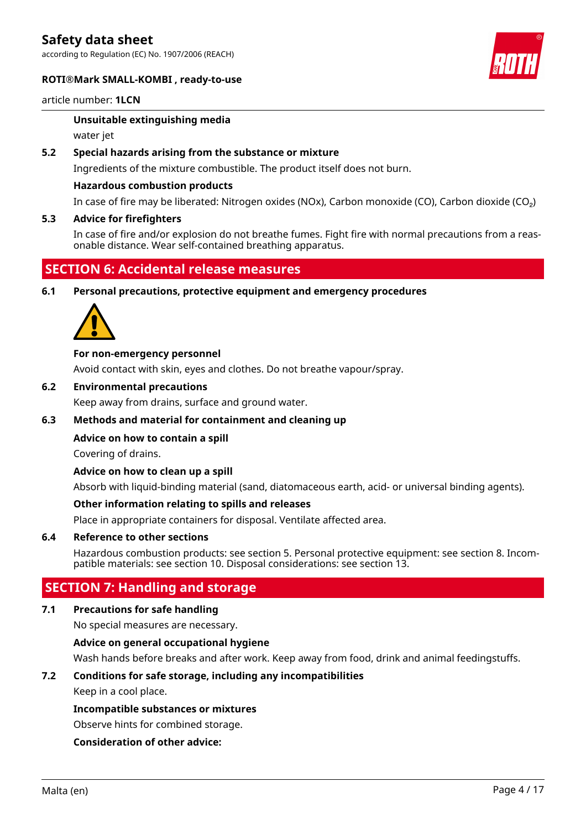according to Regulation (EC) No. 1907/2006 (REACH)

#### **ROTI®Mark SMALL-KOMBI , ready-to-use**



#### article number: **1LCN**

#### **Unsuitable extinguishing media**

water jet

#### **5.2 Special hazards arising from the substance or mixture**

Ingredients of the mixture combustible. The product itself does not burn.

#### **Hazardous combustion products**

In case of fire may be liberated: Nitrogen oxides (NOx), Carbon monoxide (CO), Carbon dioxide (CO₂)

#### **5.3 Advice for firefighters**

In case of fire and/or explosion do not breathe fumes. Fight fire with normal precautions from a reasonable distance. Wear self-contained breathing apparatus.

### **SECTION 6: Accidental release measures**

**6.1 Personal precautions, protective equipment and emergency procedures**



#### **For non-emergency personnel**

Avoid contact with skin, eyes and clothes. Do not breathe vapour/spray.

#### **6.2 Environmental precautions**

Keep away from drains, surface and ground water.

#### **6.3 Methods and material for containment and cleaning up**

#### **Advice on how to contain a spill**

Covering of drains.

#### **Advice on how to clean up a spill**

Absorb with liquid-binding material (sand, diatomaceous earth, acid- or universal binding agents).

#### **Other information relating to spills and releases**

Place in appropriate containers for disposal. Ventilate affected area.

#### **6.4 Reference to other sections**

Hazardous combustion products: see section 5. Personal protective equipment: see section 8. Incompatible materials: see section 10. Disposal considerations: see section 13.

## **SECTION 7: Handling and storage**

#### **7.1 Precautions for safe handling**

No special measures are necessary.

#### **Advice on general occupational hygiene**

Wash hands before breaks and after work. Keep away from food, drink and animal feedingstuffs.

#### **7.2 Conditions for safe storage, including any incompatibilities**

Keep in a cool place.

#### **Incompatible substances or mixtures**

Observe hints for combined storage.

#### **Consideration of other advice:**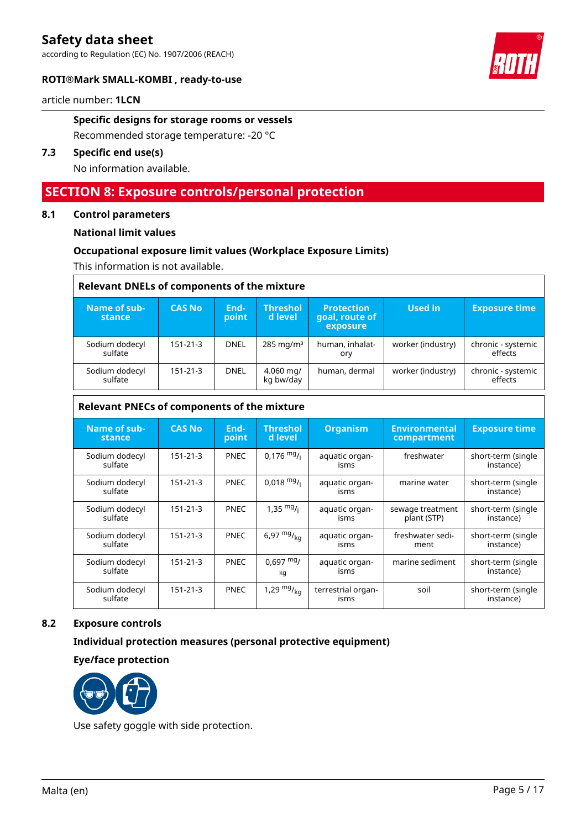according to Regulation (EC) No. 1907/2006 (REACH)



#### **ROTI®Mark SMALL-KOMBI , ready-to-use**

article number: **1LCN**

#### **Specific designs for storage rooms or vessels**

Recommended storage temperature: -20 °C

#### **7.3 Specific end use(s)**

No information available.

## **SECTION 8: Exposure controls/personal protection**

#### **8.1 Control parameters**

#### **National limit values**

#### **Occupational exposure limit values (Workplace Exposure Limits)**

This information is not available.

| <b>Relevant DNELs of components of the mixture</b> |                |               |                            |                                                 |                   |                               |  |  |
|----------------------------------------------------|----------------|---------------|----------------------------|-------------------------------------------------|-------------------|-------------------------------|--|--|
| Name of sub-<br>stance                             | <b>CAS No</b>  | End-<br>point | <b>Threshol</b><br>d level | <b>Protection</b><br>goal, route of<br>exposure | Used in           | <b>Exposure time</b>          |  |  |
| Sodium dodecyl<br>sulfate                          | $151 - 21 - 3$ | <b>DNEL</b>   | $285 \,\mathrm{mg/m^3}$    | human, inhalat-<br>ory                          | worker (industry) | chronic - systemic<br>effects |  |  |
| Sodium dodecyl<br>sulfate                          | 151-21-3       | <b>DNEL</b>   | 4.060 mg/<br>kg bw/day     | human, dermal                                   | worker (industry) | chronic - systemic<br>effects |  |  |

#### **Relevant PNECs of components of the mixture**

| Name of sub-<br>stance    | <b>CAS No</b>  | End-<br>point | <b>Threshol</b><br>d level | <b>Organism</b>            | <b>Environmental</b><br>compartment | <b>Exposure time</b>            |
|---------------------------|----------------|---------------|----------------------------|----------------------------|-------------------------------------|---------------------------------|
| Sodium dodecyl<br>sulfate | $151 - 21 - 3$ | <b>PNEC</b>   | $0.176$ mg/                | aquatic organ-<br>isms     | freshwater                          | short-term (single<br>instance) |
| Sodium dodecyl<br>sulfate | $151 - 21 - 3$ | <b>PNEC</b>   | $0.018$ mg/                | aquatic organ-<br>isms     | marine water                        | short-term (single<br>instance) |
| Sodium dodecyl<br>sulfate | $151 - 21 - 3$ | <b>PNEC</b>   | $1,35 \frac{mg}{l}$        | aquatic organ-<br>isms     | sewage treatment<br>plant (STP)     | short-term (single<br>instance) |
| Sodium dodecyl<br>sulfate | $151 - 21 - 3$ | <b>PNEC</b>   | 6,97 $mg/_{kq}$            | aquatic organ-<br>isms     | freshwater sedi-<br>ment            | short-term (single<br>instance) |
| Sodium dodecyl<br>sulfate | $151 - 21 - 3$ | <b>PNEC</b>   | $0.697 \frac{mg}{m}$<br>kg | aquatic organ-<br>isms     | marine sediment                     | short-term (single<br>instance) |
| Sodium dodecyl<br>sulfate | 151-21-3       | <b>PNEC</b>   | 1,29 $mg/m$                | terrestrial organ-<br>isms | soil                                | short-term (single<br>instance) |

#### **8.2 Exposure controls**

**Individual protection measures (personal protective equipment)**

#### **Eye/face protection**



Use safety goggle with side protection.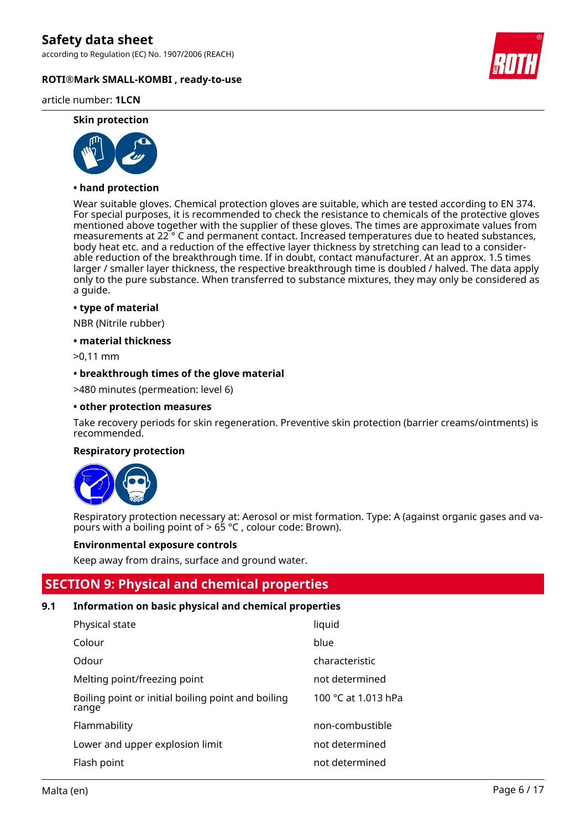according to Regulation (EC) No. 1907/2006 (REACH)

#### **ROTI®Mark SMALL-KOMBI , ready-to-use**

#### article number: **1LCN**

#### **Skin protection**



#### **• hand protection**

Wear suitable gloves. Chemical protection gloves are suitable, which are tested according to EN 374. For special purposes, it is recommended to check the resistance to chemicals of the protective gloves mentioned above together with the supplier of these gloves. The times are approximate values from measurements at 22 ° C and permanent contact. Increased temperatures due to heated substances, body heat etc. and a reduction of the effective layer thickness by stretching can lead to a considerable reduction of the breakthrough time. If in doubt, contact manufacturer. At an approx. 1.5 times larger / smaller layer thickness, the respective breakthrough time is doubled / halved. The data apply only to the pure substance. When transferred to substance mixtures, they may only be considered as a guide.

#### **• type of material**

NBR (Nitrile rubber)

#### **• material thickness**

>0,11 mm

#### **• breakthrough times of the glove material**

>480 minutes (permeation: level 6)

#### **• other protection measures**

Take recovery periods for skin regeneration. Preventive skin protection (barrier creams/ointments) is recommended.

#### **Respiratory protection**



Respiratory protection necessary at: Aerosol or mist formation. Type: A (against organic gases and vapours with a boiling point of > 65 °C , colour code: Brown).

#### **Environmental exposure controls**

Keep away from drains, surface and ground water.

## **SECTION 9: Physical and chemical properties**

#### **9.1 Information on basic physical and chemical properties**

| Physical state                                              | liquid              |
|-------------------------------------------------------------|---------------------|
| Colour                                                      | blue                |
| Odour                                                       | characteristic      |
| Melting point/freezing point                                | not determined      |
| Boiling point or initial boiling point and boiling<br>range | 100 °C at 1.013 hPa |
| Flammability                                                | non-combustible     |
| Lower and upper explosion limit                             | not determined      |
| Flash point                                                 | not determined      |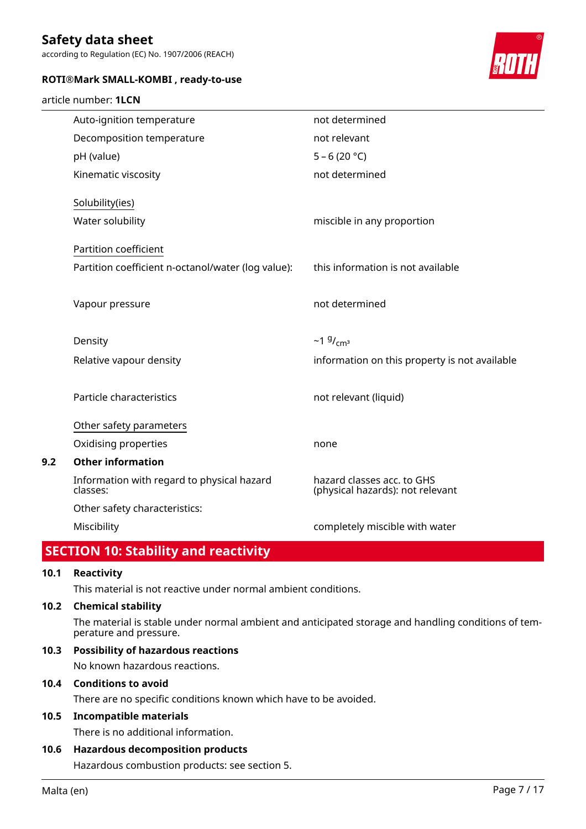article number: **1LCN**

according to Regulation (EC) No. 1907/2006 (REACH)

#### **ROTI®Mark SMALL-KOMBI , ready-to-use**



|     | Auto-ignition temperature                              | not determined                                                 |
|-----|--------------------------------------------------------|----------------------------------------------------------------|
|     | Decomposition temperature                              | not relevant                                                   |
|     | pH (value)                                             | $5 - 6(20 °C)$                                                 |
|     | Kinematic viscosity                                    | not determined                                                 |
|     | Solubility(ies)                                        |                                                                |
|     | Water solubility                                       | miscible in any proportion                                     |
|     | Partition coefficient                                  |                                                                |
|     | Partition coefficient n-octanol/water (log value):     | this information is not available                              |
|     | Vapour pressure                                        | not determined                                                 |
|     | Density                                                | $~19/$ <sub>cm<sup>3</sup></sub>                               |
|     | Relative vapour density                                | information on this property is not available                  |
|     | Particle characteristics                               | not relevant (liquid)                                          |
|     | Other safety parameters                                |                                                                |
|     | Oxidising properties                                   | none                                                           |
| 9.2 | <b>Other information</b>                               |                                                                |
|     | Information with regard to physical hazard<br>classes: | hazard classes acc. to GHS<br>(physical hazards): not relevant |
|     | Other safety characteristics:                          |                                                                |
|     | Miscibility                                            | completely miscible with water                                 |

## **SECTION 10: Stability and reactivity**

#### **10.1 Reactivity**

This material is not reactive under normal ambient conditions.

#### **10.2 Chemical stability**

The material is stable under normal ambient and anticipated storage and handling conditions of temperature and pressure.

#### **10.3 Possibility of hazardous reactions**

No known hazardous reactions.

#### **10.4 Conditions to avoid**

There are no specific conditions known which have to be avoided.

#### **10.5 Incompatible materials**

There is no additional information.

#### **10.6 Hazardous decomposition products**

Hazardous combustion products: see section 5.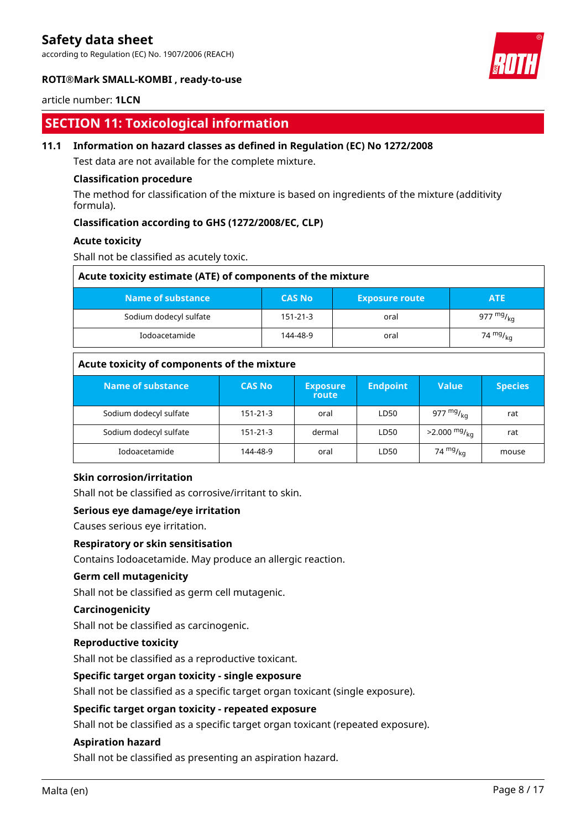according to Regulation (EC) No. 1907/2006 (REACH)



#### **ROTI®Mark SMALL-KOMBI , ready-to-use**

#### article number: **1LCN**

## **SECTION 11: Toxicological information**

#### **11.1 Information on hazard classes as defined in Regulation (EC) No 1272/2008**

Test data are not available for the complete mixture.

#### **Classification procedure**

The method for classification of the mixture is based on ingredients of the mixture (additivity formula).

#### **Classification according to GHS (1272/2008/EC, CLP)**

#### **Acute toxicity**

Shall not be classified as acutely toxic.

| Acute toxicity estimate (ATE) of components of the mixture |                |                       |                     |  |  |  |
|------------------------------------------------------------|----------------|-----------------------|---------------------|--|--|--|
| Name of substance                                          | <b>CAS No</b>  | <b>Exposure route</b> | <b>ATE</b>          |  |  |  |
| Sodium dodecyl sulfate                                     | $151 - 21 - 3$ | oral                  | 977 mg/ $_{\rm ka}$ |  |  |  |
| Iodoacetamide                                              | 144-48-9       | oral                  | 74 $mg/_{kq}$       |  |  |  |

#### **Acute toxicity of components of the mixture**

| Name of substance      | <b>CAS No</b>  | <b>Exposure</b><br>route | <b>Endpoint</b> | Value                      | <b>Species</b> |
|------------------------|----------------|--------------------------|-----------------|----------------------------|----------------|
| Sodium dodecyl sulfate | 151-21-3       | oral                     | LD50            | 977 mg/ $_{\text{ka}}$     | rat            |
| Sodium dodecyl sulfate | $151 - 21 - 3$ | dermal                   | LD50            | $>2.000$ mg/ <sub>ka</sub> | rat            |
| Iodoacetamide          | 144-48-9       | oral                     | LD50            | 74 $mg/_{ka}$              | mouse          |

#### **Skin corrosion/irritation**

Shall not be classified as corrosive/irritant to skin.

#### **Serious eye damage/eye irritation**

Causes serious eye irritation.

#### **Respiratory or skin sensitisation**

Contains Iodoacetamide. May produce an allergic reaction.

#### **Germ cell mutagenicity**

Shall not be classified as germ cell mutagenic.

#### **Carcinogenicity**

Shall not be classified as carcinogenic.

#### **Reproductive toxicity**

Shall not be classified as a reproductive toxicant.

#### **Specific target organ toxicity - single exposure**

Shall not be classified as a specific target organ toxicant (single exposure).

#### **Specific target organ toxicity - repeated exposure**

Shall not be classified as a specific target organ toxicant (repeated exposure).

#### **Aspiration hazard**

Shall not be classified as presenting an aspiration hazard.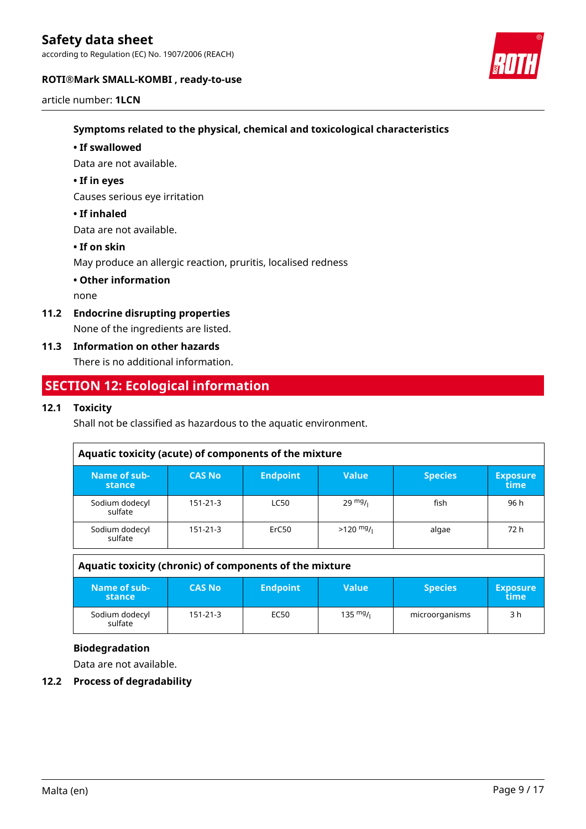according to Regulation (EC) No. 1907/2006 (REACH)



#### **ROTI®Mark SMALL-KOMBI , ready-to-use**

article number: **1LCN**

#### **Symptoms related to the physical, chemical and toxicological characteristics**

#### **• If swallowed**

Data are not available.

#### **• If in eyes**

Causes serious eye irritation

#### **• If inhaled**

Data are not available.

#### **• If on skin**

May produce an allergic reaction, pruritis, localised redness

#### **• Other information**

none

## **11.2 Endocrine disrupting properties**

None of the ingredients are listed.

#### **11.3 Information on other hazards**

There is no additional information.

## **SECTION 12: Ecological information**

#### **12.1 Toxicity**

Shall not be classified as hazardous to the aquatic environment.

| Aquatic toxicity (acute) of components of the mixture |                |                 |                   |                |                         |  |  |  |
|-------------------------------------------------------|----------------|-----------------|-------------------|----------------|-------------------------|--|--|--|
| Name of sub-<br>stance                                | <b>CAS No</b>  | <b>Endpoint</b> | <b>Value</b>      | <b>Species</b> | <b>Exposure</b><br>time |  |  |  |
| Sodium dodecyl<br>sulfate                             | $151 - 21 - 3$ | <b>LC50</b>     | $29 \frac{mg}{l}$ | fish           | 96 h                    |  |  |  |
| Sodium dodecyl<br>sulfate                             | $151 - 21 - 3$ | ErC50           | $>120$ mg/        | algae          | 72 h                    |  |  |  |

## **Aquatic toxicity (chronic) of components of the mixture**

| Name of sub-<br>stance    | <b>CAS No</b> | <b>Endpoint</b> | Value              | <b>Species</b> | <b>Exposure</b><br>\time |
|---------------------------|---------------|-----------------|--------------------|----------------|--------------------------|
| Sodium dodecyl<br>sulfate | 151-21-3      | EC50            | $135 \frac{mg}{l}$ | microorganisms | 3 h                      |

#### **Biodegradation**

Data are not available.

#### **12.2 Process of degradability**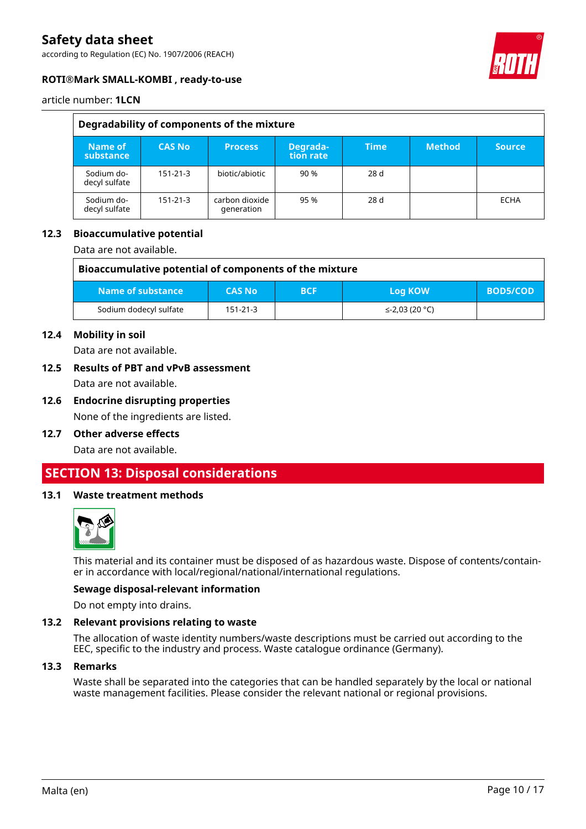according to Regulation (EC) No. 1907/2006 (REACH)



#### **ROTI®Mark SMALL-KOMBI , ready-to-use**

article number: **1LCN**

| Degradability of components of the mixture |                |                              |                       |             |               |               |
|--------------------------------------------|----------------|------------------------------|-----------------------|-------------|---------------|---------------|
| Name of<br>substance                       | <b>CAS No</b>  | <b>Process</b>               | Degrada-<br>tion rate | <b>Time</b> | <b>Method</b> | <b>Source</b> |
| Sodium do-<br>decyl sulfate                | $151 - 21 - 3$ | biotic/abiotic               | 90%                   | 28d         |               |               |
| Sodium do-<br>decyl sulfate                | $151 - 21 - 3$ | carbon dioxide<br>generation | 95 %                  | 28 d        |               | ECHA          |

#### **12.3 Bioaccumulative potential**

Data are not available.

| Bioaccumulative potential of components of the mixture |                |            |                |                 |  |
|--------------------------------------------------------|----------------|------------|----------------|-----------------|--|
| Name of substance                                      | <b>CAS No</b>  | <b>BCF</b> | <b>Log KOW</b> | <b>BOD5/COD</b> |  |
| Sodium dodecyl sulfate                                 | $151 - 21 - 3$ |            | ≤-2,03 (20 °C) |                 |  |

#### **12.4 Mobility in soil**

Data are not available.

- **12.5 Results of PBT and vPvB assessment** Data are not available.
- **12.6 Endocrine disrupting properties** None of the ingredients are listed.
- **12.7 Other adverse effects** Data are not available.

## **SECTION 13: Disposal considerations**

#### **13.1 Waste treatment methods**



This material and its container must be disposed of as hazardous waste. Dispose of contents/container in accordance with local/regional/national/international regulations.

#### **Sewage disposal-relevant information**

Do not empty into drains.

#### **13.2 Relevant provisions relating to waste**

The allocation of waste identity numbers/waste descriptions must be carried out according to the EEC, specific to the industry and process. Waste catalogue ordinance (Germany).

#### **13.3 Remarks**

Waste shall be separated into the categories that can be handled separately by the local or national waste management facilities. Please consider the relevant national or regional provisions.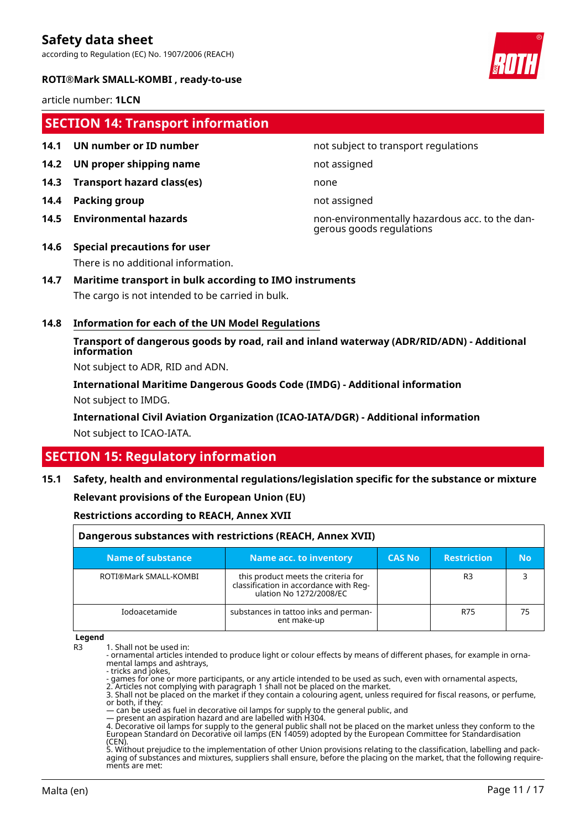according to Regulation (EC) No. 1907/2006 (REACH)



#### **ROTI®Mark SMALL-KOMBI , ready-to-use**

article number: **1LCN**

## **SECTION 14: Transport information**

- 
- **14.2 UN proper shipping name** not assigned
- **14.3 Transport hazard class(es)** none
- **14.4 Packing group not assigned not assigned**
- 

#### **14.1 UN number or ID number not subject to transport regulations**

**14.5 Environmental hazards** non-environmentally hazardous acc. to the dangerous goods regulations

#### **14.6 Special precautions for user** There is no additional information.

#### **14.7 Maritime transport in bulk according to IMO instruments**

The cargo is not intended to be carried in bulk.

#### **14.8 Information for each of the UN Model Regulations**

#### **Transport of dangerous goods by road, rail and inland waterway (ADR/RID/ADN) - Additional information**

Not subject to ADR, RID and ADN.

**International Maritime Dangerous Goods Code (IMDG) - Additional information** Not subject to IMDG.

# **International Civil Aviation Organization (ICAO-IATA/DGR) - Additional information**

### Not subject to ICAO-IATA.

## **SECTION 15: Regulatory information**

## **15.1 Safety, health and environmental regulations/legislation specific for the substance or mixture**

#### **Relevant provisions of the European Union (EU)**

#### **Restrictions according to REACH, Annex XVII**

|                       | Dangerous substances with restrictions (REACH, Annex XVII)                                               |               |                    |    |
|-----------------------|----------------------------------------------------------------------------------------------------------|---------------|--------------------|----|
| Name of substance     | Name acc. to inventory                                                                                   | <b>CAS No</b> | <b>Restriction</b> | No |
| ROTI®Mark SMALL-KOMBI | this product meets the criteria for<br>classification in accordance with Reg-<br>ulation No 1272/2008/EC |               | R <sub>3</sub>     |    |
| <b>Indoacetamide</b>  | substances in tattoo inks and perman-<br>ent make-up                                                     |               | <b>R75</b>         | 75 |

**Legend**

R3 1. Shall not be used in:

- ornamental articles intended to produce light or colour effects by means of different phases, for example in ornamental lamps and ashtrays,

- tricks and jokes,

- games for one or more participants, or any article intended to be used as such, even with ornamental aspects,

2. Articles not complying with paragraph 1 shall not be placed on the market. 3. Shall not be placed on the market if they contain a colouring agent, unless required for fiscal reasons, or perfume, or both, if they:

— can be used as fuel in decorative oil lamps for supply to the general public, and

— present an aspiration hazard and are labelled with H304.

4. Decorative oil lamps for supply to the general public shall not be placed on the market unless they conform to the European Standard on Decorative oil lamps (EN 14059) adopted by the European Committee for Standardisation (CEN).

5. Without prejudice to the implementation of other Union provisions relating to the classification, labelling and packaging of substances and mixtures, suppliers shall ensure, before the placing on the market, that the following requirements are met: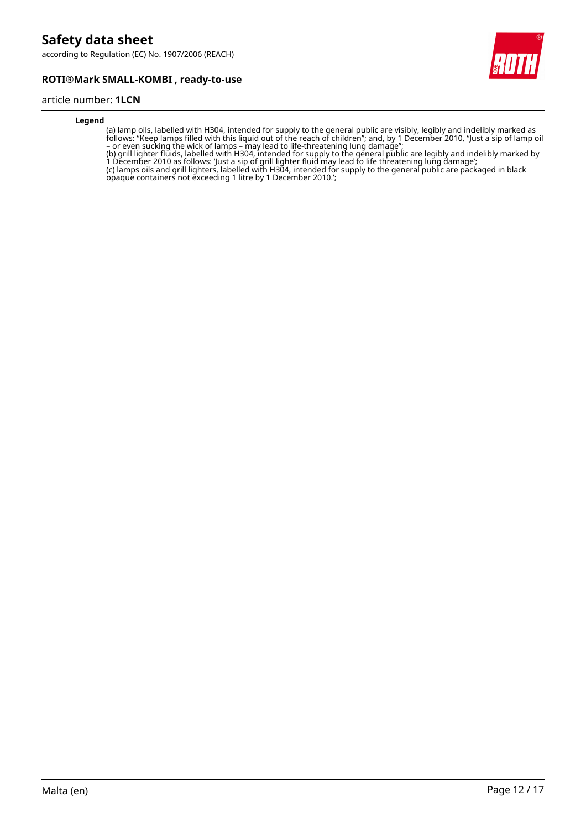according to Regulation (EC) No. 1907/2006 (REACH)



#### **ROTI®Mark SMALL-KOMBI , ready-to-use**

#### article number: **1LCN**

#### **Legend**

(a) lamp oils, labelled with H304, intended for supply to the general public are visibly, legibly and indelibly marked as follows: "Keep lamps filled with this liquid out of the reach of children"; and, by 1 December 2010, "Just a sip of lamp oil – or even sucking the wick of lamps – may lead to life-threatening lung damage"; (b) grill lighter fluids, labelled with H304, intended for supply to the general public are legibly and indelibly marked by 1 December 2010 as follows: 'Just a sip of grill lighter fluid may lead to life threatening lung damage'; (c) lamps oils and grill lighters, labelled with H304, intended for supply to the general public are packaged in black opaque containers not exceeding 1 litre by 1 December 2010.';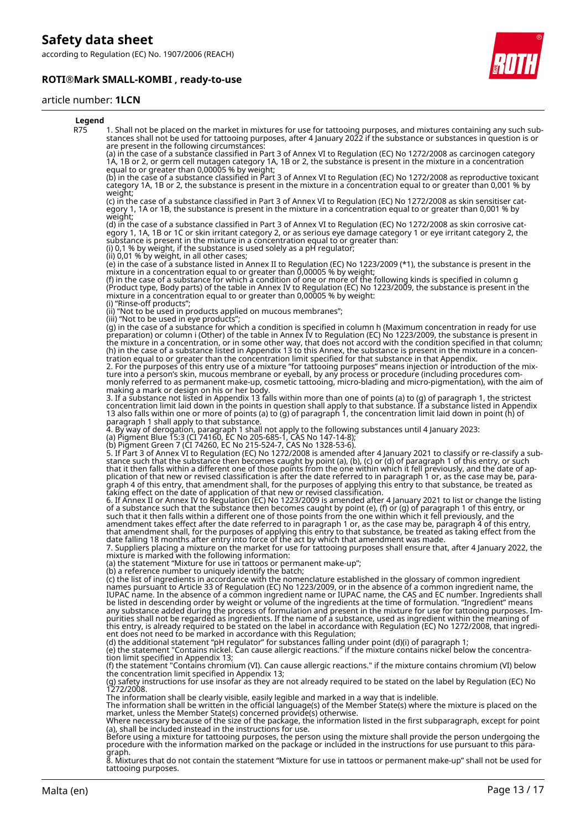according to Regulation (EC) No. 1907/2006 (REACH)

#### **ROTI®Mark SMALL-KOMBI , ready-to-use**



#### article number: **1LCN**

#### **Legend** R75 1. Shall not be placed on the market in mixtures for use for tattooing purposes, and mixtures containing any such substances shall not be used for tattooing purposes, after 4 January 2022 if the substance or substances in question is or are present in the following circumstances: (a) in the case of a substance classified in Part 3 of Annex VI to Regulation (EC) No 1272/2008 as carcinogen category 1A, 1B or 2, or germ cell mutagen category 1A, 1B or 2, the substance is present in the mixture in a concentration equal to or greater than 0,00005 % by weight; (b) in the case of a substance classified in Part 3 of Annex VI to Regulation (EC) No 1272/2008 as reproductive toxicant category 1A, 1B or 2, the substance is present in the mixture in a concentration equal to or greater than 0,001 % by weight; (c) in the case of a substance classified in Part 3 of Annex VI to Regulation (EC) No 1272/2008 as skin sensitiser category 1, 1A or 1B, the substance is present in the mixture in a concentration equal to or greater than 0,001 % by weight; (d) in the case of a substance classified in Part 3 of Annex VI to Regulation (EC) No 1272/2008 as skin corrosive category 1, 1A, 1B or 1C or skin irritant category 2, or as serious eye damage category 1 or eye irritant category 2, the substance is present in the mixture in a concentration equal to or greater than: (i) 0,1 % by weight, if the substance is used solely as a pH regulator; (ii) 0,01 % by weight, in all other cases; (e) in the case of a substance listed in Annex II to Regulation (EC) No 1223/2009 (\*1), the substance is present in the mixture in a concentration equal to or greater than 0,00005 % by weight; (f) in the case of a substance for which a condition of one or more of the following kinds is specified in column g (Product type, Body parts) of the table in Annex IV to Regulation (EC) No 1223/2009, the substance is present in the mixture in a concentration equal to or greater than 0,00005 % by weight: (i) "Rinse-off products"; (ii) "Not to be used in products applied on mucous membranes"; (iii) "Not to be used in eye products"; (g) in the case of a substance for which a condition is specified in column h (Maximum concentration in ready for use preparation) or column i (Other) of the table in Annex IV to Regulation (EC) No 1223/2009, the substance is present in the mixture in a concentration, or in some other way, that does not accord with the condition specified in that column; (h) in the case of a substance listed in Appendix 13 to this Annex, the substance is present in the mixture in a concentration equal to or greater than the concentration limit specified for that substance in that Appendix. 2. For the purposes of this entry use of a mixture "for tattooing purposes" means injection or introduction of the mixture into a person's skin, mucous membrane or eyeball, by any process or procedure (including procedures commonly referred to as permanent make-up, cosmetic tattooing, micro-blading and micro-pigmentation), with the aim of making a mark or design on his or her body. 3. If a substance not listed in Appendix 13 falls within more than one of points (a) to (g) of paragraph 1, the strictest concentration limit laid down in the points in question shall apply to that substance. If a substance listed in Appendix 13 also falls within one or more of points (a) to (g) of paragraph 1, the concentration limit laid down in point (h) of paragraph 1 shall apply to that substance. 4. By way of derogation, paragraph 1 shall not apply to the following substances until 4 January 2023: (a) Pigment Blue 15:3 (CI 74160, EC No 205-685-1, CAS No 147-14-8); (b) Pigment Green 7 (CI 74260, EC No 215-524-7, CAS No 1328-53-6). 5. If Part 3 of Annex VI to Regulation (EC) No 1272/2008 is amended after 4 January 2021 to classify or re-classify a substance such that the substance then becomes caught by point (a), (b), (c) or (d) of paragraph 1 of this entry, or such that it then falls within a different one of those points from the one within which it fell previously, and the date of application of that new or revised classification is after the date referred to in paragraph 1 or, as the case may be, paragraph 4 of this entry, that amendment shall, for the purposes of applying this entry to that substance, be treated as taking effect on the date of application of that new or revised classification. 6. If Annex II or Annex IV to Regulation (EC) No 1223/2009 is amended after 4 January 2021 to list or change the listing of a substance such that the substance then becomes caught by point (e), (f) or (g) of paragraph 1 of this entry, or such that it then falls within a different one of those points from the one within which it fell previously, and the amendment takes effect after the date referred to in paragraph 1 or, as the case may be, paragraph 4 of this entry, that amendment shall, for the purposes of applying this entry to that substance, be treated as taking effect from the date falling 18 months after entry into force of the act by which that amendment was made. 7. Suppliers placing a mixture on the market for use for tattooing purposes shall ensure that, after 4 January 2022, the mixture is marked with the following information: (a) the statement "Mixture for use in tattoos or permanent make-up"; (b) a reference number to uniquely identify the batch; (c) the list of ingredients in accordance with the nomenclature established in the glossary of common ingredient names pursuant to Article 33 of Regulation (EC) No 1223/2009, or in the absence of a common ingredient name, the IUPAC name. In the absence of a common ingredient name or IUPAC name, the CAS and EC number. Ingredients shall be listed in descending order by weight or volume of the ingredients at the time of formulation. "Ingredient" means any substance added during the process of formulation and present in the mixture for use for tattooing purposes. Impurities shall not be regarded as ingredients. If the name of a substance, used as ingredient within the meaning of this entry, is already required to be stated on the label in accordance with Regulation (EC) No 1272/2008, that ingredient does not need to be marked in accordance with this Regulation; (d) the additional statement "pH regulator" for substances falling under point (d)(i) of paragraph 1; (e) the statement "Contains nickel. Can cause allergic reactions." if the mixture contains nickel below the concentration limit specified in Appendix 13; (f) the statement "Contains chromium (VI). Can cause allergic reactions." if the mixture contains chromium (VI) below the concentration limit specified in Appendix 13; (g) safety instructions for use insofar as they are not already required to be stated on the label by Regulation (EC) No 1272/2008. The information shall be clearly visible, easily legible and marked in a way that is indelible.<br>The information shall be written in the official language(s) of the Member State(s) where the mixture is placed on the<br>market, Where necessary because of the size of the package, the information listed in the first subparagraph, except for point (a), shall be included instead in the instructions for use. Before using a mixture for tattooing purposes, the person using the mixture shall provide the person undergoing the procedure with the information marked on the package or included in the instructions for use pursuant to this paragraph.

8. Mixtures that do not contain the statement "Mixture for use in tattoos or permanent make-up" shall not be used for tattooing purposes.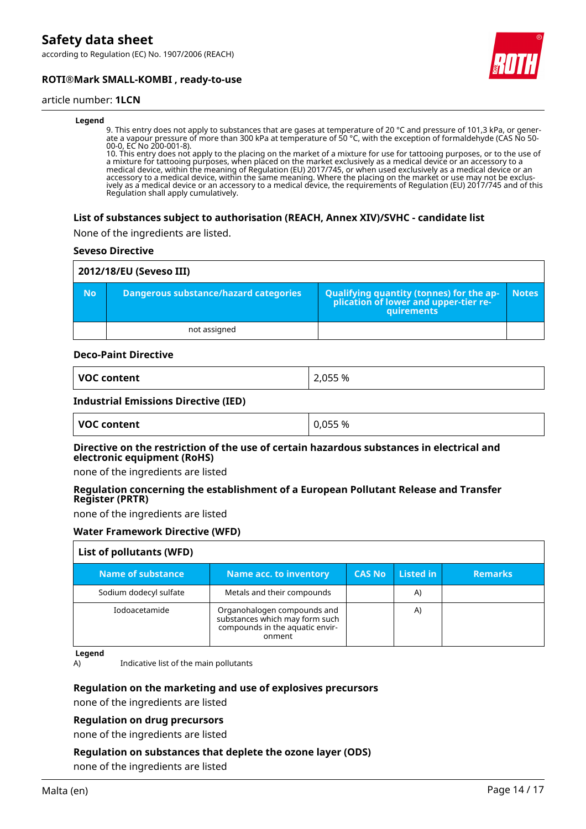according to Regulation (EC) No. 1907/2006 (REACH)



#### **ROTI®Mark SMALL-KOMBI , ready-to-use**

#### article number: **1LCN**

#### **Legend**

9. This entry does not apply to substances that are gases at temperature of 20 °C and pressure of 101,3 kPa, or generate a vapour pressure of more than 300 kPa at temperature of 50 °C, with the exception of formaldehyde (CAS No 50- 00-0, EC No 200-001-8).

10. This entry does not apply to the placing on the market of a mixture for use for tattooing purposes, or to the use of a mixture for tattooing purposes, when placed on the market exclusively as a medical device or an accessory to a medical device, within the meaning of Regulation (EU) 2017/745, or when used exclusively as a medical device or an accessory to a medical device, within the same meaning. Where the placing on the market or use may not be exclusively as a medical device or an accessory to a medical device, the requirements of Regulation (EU) 2017/745 and of this Regulation shall apply cumulatively.

#### **List of substances subject to authorisation (REACH, Annex XIV)/SVHC - candidate list**

None of the ingredients are listed.

#### **Seveso Directive**

|           | 2012/18/EU (Seveso III)               |                                                                                            |              |  |  |
|-----------|---------------------------------------|--------------------------------------------------------------------------------------------|--------------|--|--|
| <b>No</b> | Dangerous substance/hazard categories | Qualifying quantity (tonnes) for the application of lower and upper-tier re-<br>quirements | <b>Notes</b> |  |  |
|           | not assigned                          |                                                                                            |              |  |  |

#### **Deco-Paint Directive**

| VOC content | 2,055 % |
|-------------|---------|
|-------------|---------|

#### **Industrial Emissions Directive (IED)**

| VOC content | 0,055 % |
|-------------|---------|
|             |         |

#### **Directive on the restriction of the use of certain hazardous substances in electrical and electronic equipment (RoHS)**

none of the ingredients are listed

#### **Regulation concerning the establishment of a European Pollutant Release and Transfer Register (PRTR)**

none of the ingredients are listed

#### **Water Framework Directive (WFD)**

| List of pollutants (WFD) |                                                                                                            |               |           |                |
|--------------------------|------------------------------------------------------------------------------------------------------------|---------------|-----------|----------------|
| Name of substance        | <b>Name acc. to inventory</b>                                                                              | <b>CAS No</b> | Listed in | <b>Remarks</b> |
| Sodium dodecyl sulfate   | Metals and their compounds                                                                                 |               | A)        |                |
| Iodoacetamide            | Organohalogen compounds and<br>substances which may form such<br>compounds in the aquatic envir-<br>onment |               | A)        |                |

#### **Legend**

A) Indicative list of the main pollutants

#### **Regulation on the marketing and use of explosives precursors**

none of the ingredients are listed

#### **Regulation on drug precursors**

none of the ingredients are listed

#### **Regulation on substances that deplete the ozone layer (ODS)**

none of the ingredients are listed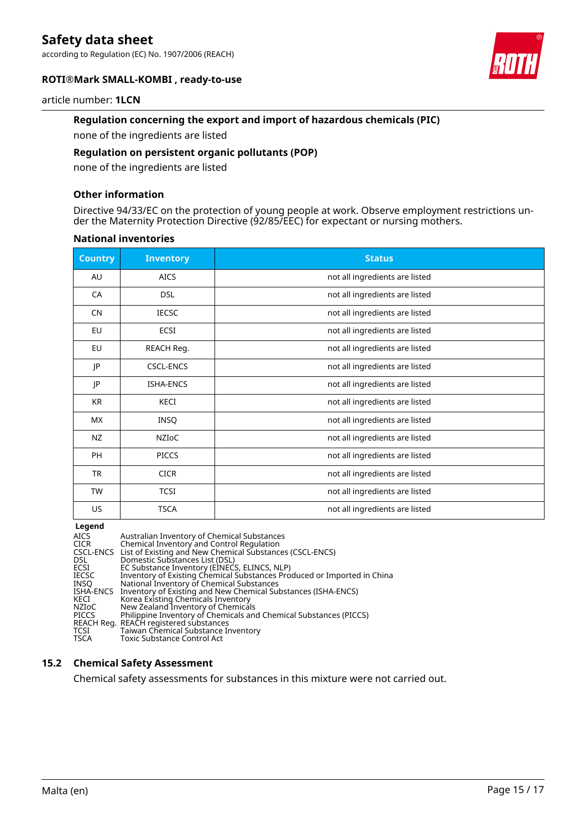according to Regulation (EC) No. 1907/2006 (REACH)





#### article number: **1LCN**

#### **Regulation concerning the export and import of hazardous chemicals (PIC)**

none of the ingredients are listed

#### **Regulation on persistent organic pollutants (POP)**

none of the ingredients are listed

#### **Other information**

Directive 94/33/EC on the protection of young people at work. Observe employment restrictions under the Maternity Protection Directive (92/85/EEC) for expectant or nursing mothers.

#### **National inventories**

| <b>Country</b> | <b>Inventory</b> | <b>Status</b>                  |
|----------------|------------------|--------------------------------|
| AU             | <b>AICS</b>      | not all ingredients are listed |
| CA             | <b>DSL</b>       | not all ingredients are listed |
| <b>CN</b>      | <b>IECSC</b>     | not all ingredients are listed |
| EU             | ECSI             | not all ingredients are listed |
| EU             | REACH Reg.       | not all ingredients are listed |
| JP             | <b>CSCL-ENCS</b> | not all ingredients are listed |
| JP             | <b>ISHA-ENCS</b> | not all ingredients are listed |
| <b>KR</b>      | KECI             | not all ingredients are listed |
| <b>MX</b>      | INSQ             | not all ingredients are listed |
| NZ             | <b>NZIOC</b>     | not all ingredients are listed |
| <b>PH</b>      | <b>PICCS</b>     | not all ingredients are listed |
| <b>TR</b>      | <b>CICR</b>      | not all ingredients are listed |
| <b>TW</b>      | <b>TCSI</b>      | not all ingredients are listed |
| <b>US</b>      | <b>TSCA</b>      | not all ingredients are listed |

**Legend**

| <b>AICS</b>  | Australian Inventory of Chemical Substances                             |
|--------------|-------------------------------------------------------------------------|
| <b>CICR</b>  | Chemical Inventory and Control Regulation                               |
|              | CSCL-ENCS List of Existing and New Chemical Substances (CSCL-ENCS)      |
| DSL.         | Domestic Substances List (DSL)                                          |
| ECSI         | EC Substance Inventory (EINECS, ELINCS, NLP)                            |
| <b>IECSC</b> | Inventory of Existing Chemical Substances Produced or Imported in China |
| <b>INSO</b>  | National Inventory of Chemical Substances                               |
|              | ISHA-ENCS Inventory of Existing and New Chemical Substances (ISHA-ENCS) |
| KECI         | Korea Existing Chemicals Inventory                                      |
| NZIoC        | New Zealand Inventory of Chemicals                                      |
| PICCS        | Philippine Inventory of Chemicals and Chemical Substances (PICCS)       |
|              | REACH Reg. REACH registered substances                                  |
| TCSI         | Taiwan Chemical Substance Inventory                                     |
| <b>TSCA</b>  | Toxic Substance Control Act                                             |
|              |                                                                         |

#### **15.2 Chemical Safety Assessment**

Chemical safety assessments for substances in this mixture were not carried out.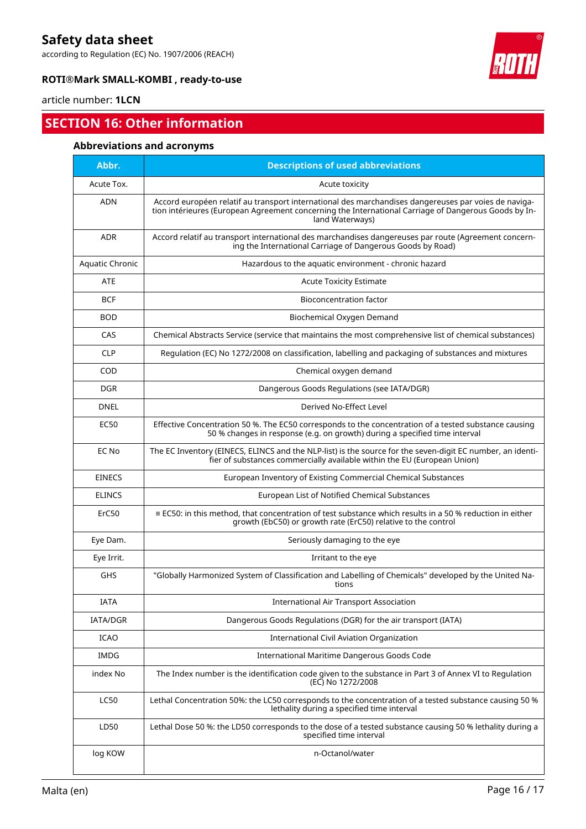according to Regulation (EC) No. 1907/2006 (REACH)



### **ROTI®Mark SMALL-KOMBI , ready-to-use**

#### article number: **1LCN**

## **SECTION 16: Other information**

#### **Abbreviations and acronyms**

| Abbr.                  | <b>Descriptions of used abbreviations</b>                                                                                                                                                                                       |
|------------------------|---------------------------------------------------------------------------------------------------------------------------------------------------------------------------------------------------------------------------------|
| Acute Tox.             | Acute toxicity                                                                                                                                                                                                                  |
| ADN                    | Accord européen relatif au transport international des marchandises dangereuses par voies de naviga-<br>tion intérieures (European Agreement concerning the International Carriage of Dangerous Goods by In-<br>land Waterways) |
| <b>ADR</b>             | Accord relatif au transport international des marchandises dangereuses par route (Agreement concern-<br>ing the International Carriage of Dangerous Goods by Road)                                                              |
| <b>Aquatic Chronic</b> | Hazardous to the aquatic environment - chronic hazard                                                                                                                                                                           |
| <b>ATE</b>             | <b>Acute Toxicity Estimate</b>                                                                                                                                                                                                  |
| <b>BCF</b>             | <b>Bioconcentration factor</b>                                                                                                                                                                                                  |
| <b>BOD</b>             | Biochemical Oxygen Demand                                                                                                                                                                                                       |
| CAS                    | Chemical Abstracts Service (service that maintains the most comprehensive list of chemical substances)                                                                                                                          |
| <b>CLP</b>             | Regulation (EC) No 1272/2008 on classification, labelling and packaging of substances and mixtures                                                                                                                              |
| COD                    | Chemical oxygen demand                                                                                                                                                                                                          |
| <b>DGR</b>             | Dangerous Goods Regulations (see IATA/DGR)                                                                                                                                                                                      |
| DNEL                   | Derived No-Effect Level                                                                                                                                                                                                         |
| EC50                   | Effective Concentration 50 %. The EC50 corresponds to the concentration of a tested substance causing<br>50 % changes in response (e.g. on growth) during a specified time interval                                             |
| EC No                  | The EC Inventory (EINECS, ELINCS and the NLP-list) is the source for the seven-digit EC number, an identi-<br>fier of substances commercially available within the EU (European Union)                                          |
| <b>EINECS</b>          | European Inventory of Existing Commercial Chemical Substances                                                                                                                                                                   |
| <b>ELINCS</b>          | European List of Notified Chemical Substances                                                                                                                                                                                   |
| ErC50                  | ≡ EC50: in this method, that concentration of test substance which results in a 50 % reduction in either<br>growth (EbC50) or growth rate (ErC50) relative to the control                                                       |
| Eye Dam.               | Seriously damaging to the eye                                                                                                                                                                                                   |
| Eye Irrit.             | Irritant to the eye                                                                                                                                                                                                             |
| GHS                    | "Globally Harmonized System of Classification and Labelling of Chemicals" developed by the United Na-<br>tions                                                                                                                  |
| <b>IATA</b>            | <b>International Air Transport Association</b>                                                                                                                                                                                  |
| IATA/DGR               | Dangerous Goods Regulations (DGR) for the air transport (IATA)                                                                                                                                                                  |
| <b>ICAO</b>            | International Civil Aviation Organization                                                                                                                                                                                       |
| <b>IMDG</b>            | International Maritime Dangerous Goods Code                                                                                                                                                                                     |
| index No               | The Index number is the identification code given to the substance in Part 3 of Annex VI to Regulation<br>(EC) No 1272/2008                                                                                                     |
| <b>LC50</b>            | Lethal Concentration 50%: the LC50 corresponds to the concentration of a tested substance causing 50 %<br>lethality during a specified time interval                                                                            |
| LD50                   | Lethal Dose 50 %: the LD50 corresponds to the dose of a tested substance causing 50 % lethality during a<br>specified time interval                                                                                             |
| log KOW                | n-Octanol/water                                                                                                                                                                                                                 |